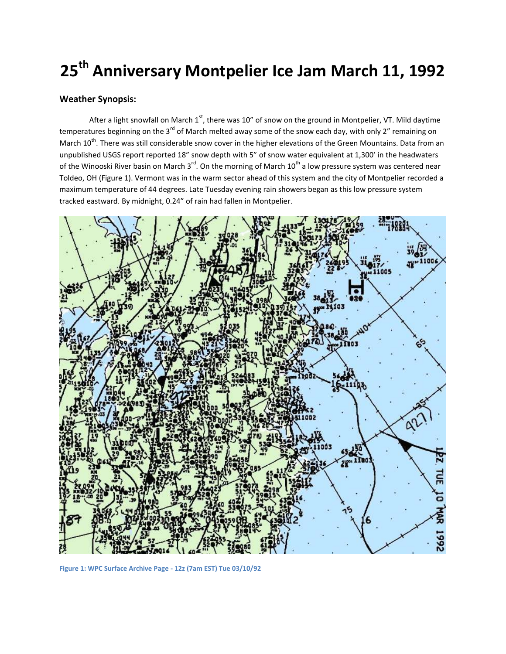# **25th Anniversary Montpelier Ice Jam March 11, 1992**

## **Weather Synopsis:**

After a light snowfall on March  $1<sup>st</sup>$ , there was 10" of snow on the ground in Montpelier, VT. Mild daytime temperatures beginning on the 3 $^{rd}$  of March melted away some of the snow each day, with only 2" remaining on March 10<sup>th</sup>. There was still considerable snow cover in the higher elevations of the Green Mountains. Data from an unpublished USGS report reported 18" snow depth with 5" of snow water equivalent at 1,300' in the headwaters of the Winooski River basin on March 3<sup>rd</sup>. On the morning of March 10<sup>th</sup> a low pressure system was centered near Toldeo, OH (Figure 1). Vermont was in the warm sector ahead of this system and the city of Montpelier recorded a maximum temperature of 44 degrees. Late Tuesday evening rain showers began as this low pressure system tracked eastward. By midnight, 0.24" of rain had fallen in Montpelier.



**Figure 1: WPC Surface Archive Page - 12z (7am EST) Tue 03/10/92**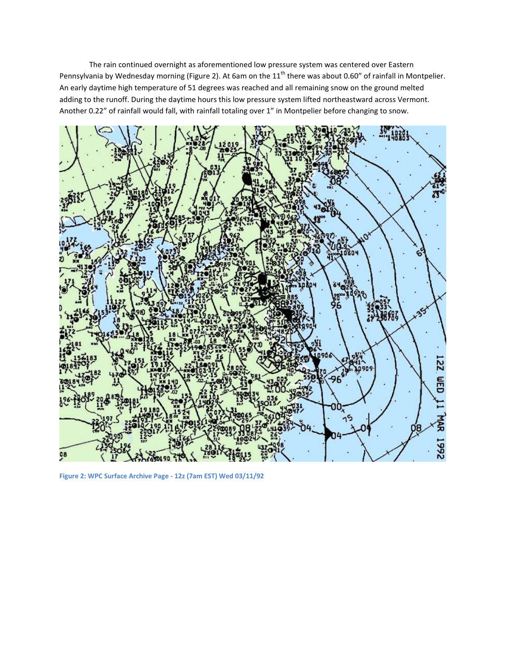The rain continued overnight as aforementioned low pressure system was centered over Eastern Pennsylvania by Wednesday morning (Figure 2). At 6am on the  $11^{th}$  there was about 0.60" of rainfall in Montpelier. An early daytime high temperature of 51 degrees was reached and all remaining snow on the ground melted adding to the runoff. During the daytime hours this low pressure system lifted northeastward across Vermont. Another 0.22" of rainfall would fall, with rainfall totaling over 1" in Montpelier before changing to snow.



**Figure 2: WPC Surface Archive Page - 12z (7am EST) Wed 03/11/92**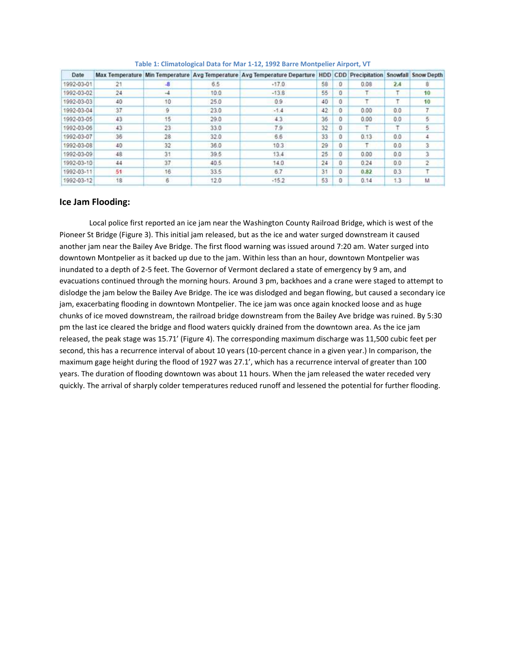| Date       |    |    |       | Max Temperature Min Temperature Avg Temperature Avg Temperature Departure HDD CDD Precipitation |    |          |      |     | Snowfall Snow Depth |
|------------|----|----|-------|-------------------------------------------------------------------------------------------------|----|----------|------|-----|---------------------|
| 1992-03-01 | 21 | -8 | 6.5   | $-17.0$                                                                                         | 58 | $\Omega$ | 0.08 | 2.4 |                     |
| 1992-03-02 | 24 |    | 10.0  | $-13.8$                                                                                         | 55 | $\Omega$ |      |     | 10                  |
| 1992-03-03 | 40 | 10 | 25.0  | 0.9.                                                                                            | 40 | o        |      |     | 10                  |
| 1992-03-04 | 37 | 9  | 23.0  | $-1.4$                                                                                          | 42 | 0        | 0.00 | 0.0 |                     |
| 1992-03-05 | 43 | 15 | 29.0  | 4.3                                                                                             | 36 | Ð        | 0.00 | 0.0 | 5                   |
| 1992-03-06 | 43 | 23 | 33.0  | 7.9                                                                                             | 32 | Ũ        |      |     |                     |
| 1992-03-07 | 36 | 28 | 32.0  | 6.6                                                                                             | 33 | ٥        | 0.13 | 0.0 |                     |
| 1992-03-08 | 40 | 32 | 36.0  | 10.3                                                                                            | 29 | ō        |      | 0.0 |                     |
| 1992-03-09 | 48 | 31 | 39.5  | 13.4                                                                                            | 25 | o        | 0.00 | 0.0 |                     |
| 1992-03-10 | 44 | 37 | 40.5. | 14.0                                                                                            | 24 | 0        | 0.24 | 0.0 |                     |
| 1992-03-11 | 51 | 16 | 33.5  | 67                                                                                              | 31 | 0        | 0.82 | 0.3 |                     |
| 1992-03-12 | 18 | 6  | 12.0  | $-15.2$                                                                                         | 53 | o        | 0.14 | 1.3 | м                   |

**Table 1: Climatological Data for Mar 1-12, 1992 Barre Montpelier Airport, VT**

## **Ice Jam Flooding:**

Local police first reported an ice jam near the Washington County Railroad Bridge, which is west of the Pioneer St Bridge (Figure 3). This initial jam released, but as the ice and water surged downstream it caused another jam near the Bailey Ave Bridge. The first flood warning was issued around 7:20 am. Water surged into downtown Montpelier as it backed up due to the jam. Within less than an hour, downtown Montpelier was inundated to a depth of 2-5 feet. The Governor of Vermont declared a state of emergency by 9 am, and evacuations continued through the morning hours. Around 3 pm, backhoes and a crane were staged to attempt to dislodge the jam below the Bailey Ave Bridge. The ice was dislodged and began flowing, but caused a secondary ice jam, exacerbating flooding in downtown Montpelier. The ice jam was once again knocked loose and as huge chunks of ice moved downstream, the railroad bridge downstream from the Bailey Ave bridge was ruined. By 5:30 pm the last ice cleared the bridge and flood waters quickly drained from the downtown area. As the ice jam released, the peak stage was 15.71' (Figure 4). The corresponding maximum discharge was 11,500 cubic feet per second, this has a recurrence interval of about 10 years (10-percent chance in a given year.) In comparison, the maximum gage height during the flood of 1927 was 27.1', which has a recurrence interval of greater than 100 years. The duration of flooding downtown was about 11 hours. When the jam released the water receded very quickly. The arrival of sharply colder temperatures reduced runoff and lessened the potential for further flooding.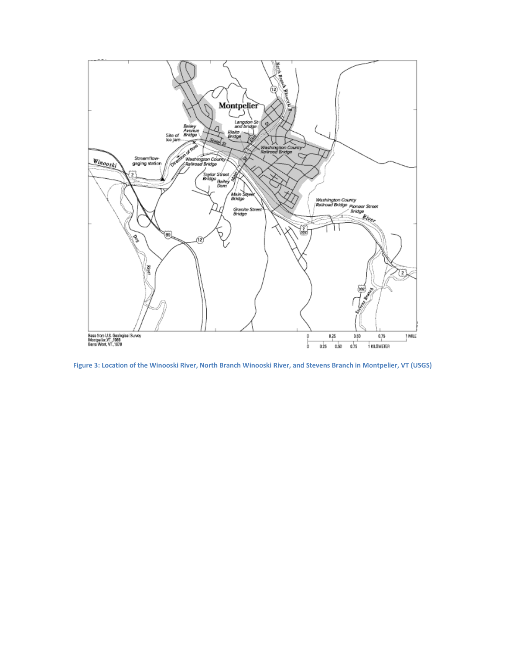

**Figure 3: Location of the Winooski River, North Branch Winooski River, and Stevens Branch in Montpelier, VT (USGS)**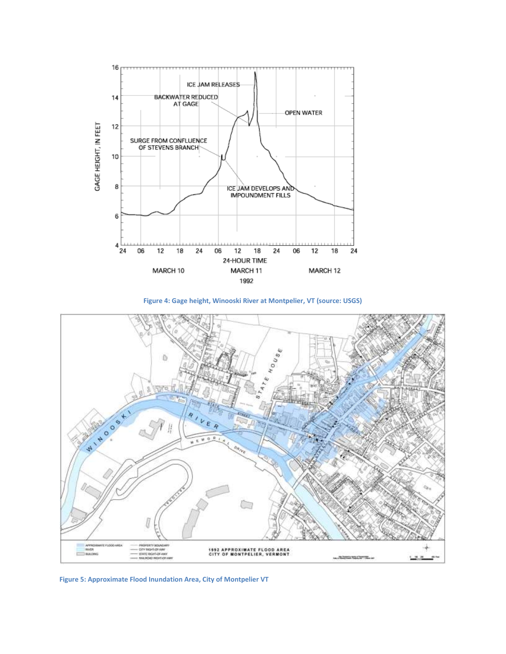

**Figure 4: Gage height, Winooski River at Montpelier, VT (source: USGS)**



**Figure 5: Approximate Flood Inundation Area, City of Montpelier VT**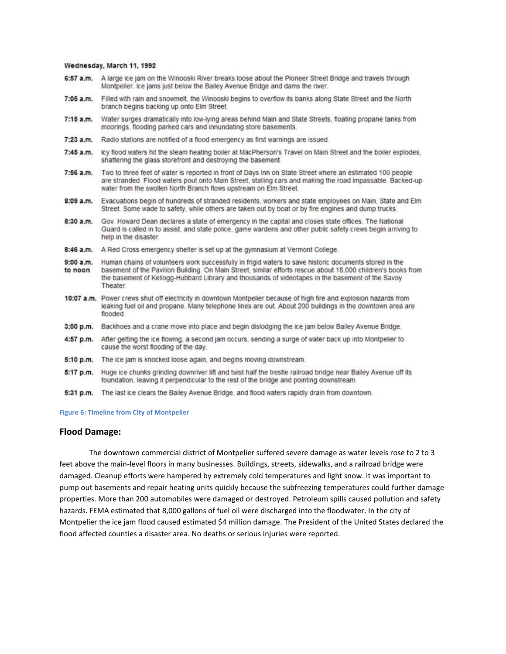#### Wednesday, March 11, 1992

- A large ice jam on the Winooski River breaks loose about the Pioneer Street Bridge and travels through 6:57 a.m. Montpelier, Ice jams just below the Bailey Avenue Bridge and dams the river.
- $7:05$  a.m. Filled with rain and snowmelt, the Winooski begins to overflow its banks along State Street and the North branch begins backing up onto Elm Street.
- Water surges dramatically into low-lying areas behind Main and State Streets, floating propane tanks from  $7:15$  a.m. moorings, flooding parked cars and innundating store basements.
- $7:23$  a.m. Radio stations are notified of a flood emergency as first warnings are issued.
- Icy flood waters hit the steam heating boiler at MacPherson's Travel on Main Street and the boiler explodes. 7:45 a.m. shattering the glass storefront and destroying the basement.
- Two to three feet of water is reported in front of Days Inn on State Street where an estimated 100 people 7:56 a.m. are stranded. Flood waters pout onto Main Street, stalling cars and making the road impassable. Backed-up water from the swollen North Branch flows upstream on Elm Street.
- 8:09 a.m. Evacuations begin of hundreds of stranded residents, workers and state employees on Main. State and Elm Street. Some wade to safety, while others are taken out by boat or by fire engines and dump trucks.
- Gov. Howard Dean declares a state of emergency in the capital and closes state offices. The National 8:30 a.m. Guard is called in to assist, and state police, game wardens and other public safety crews begin arriving to help in the disaster.
- A Red Cross emergency shelter is set up at the gymnasium at Vermont College. 8:46 a.m.
- Human chains of volunteers work successfully in frigid waters to save historic documents stored in the  $9:00 a.m.$ basement of the Pavilion Building. On Main Street, similar efforts rescue about 18,000 children's books from to noon the basement of Kellogg-Hubbard Library and thousands of videotapes in the basement of the Savoy Theater
- 10:07 a.m. Power crews shut off electricity in downtown Montpelier because of high fire and explosion hazards from leaking fuel oil and propane. Many telephone lines are out. About 200 buildings in the downtown area are flooded.
- Backhoes and a crane move into place and begin dislodging the ice jam below Bailey Avenue Bridge.  $3:00 p.m.$
- 4:57 p.m. After getting the ice flowing, a second jam occurs, sending a surge of water back up into Montpelier to cause the worst flooding of the day.
- The ice jam is knocked loose again, and begins moving downstream. 5:10 p.m.
- 5:17 p.m. Huge ice chunks grinding downriver lift and twist half the trestle railroad bridge near Bailey Avenue off its foundation, leaving it perpendicular to the rest of the bridge and pointing downstream.
- $5:31$  p.m. The last ice clears the Bailey Avenue Bridge, and flood waters rapidly drain from downtown.

**Figure 6: Timeline from City of Montpelier** 

### **Flood Damage:**

The downtown commercial district of Montpelier suffered severe damage as water levels rose to 2 to 3 feet above the main-level floors in many businesses. Buildings, streets, sidewalks, and a railroad bridge were damaged. Cleanup efforts were hampered by extremely cold temperatures and light snow. It was important to pump out basements and repair heating units quickly because the subfreezing temperatures could further damage properties. More than 200 automobiles were damaged or destroyed. Petroleum spills caused pollution and safety hazards. FEMA estimated that 8,000 gallons of fuel oil were discharged into the floodwater. In the city of Montpelier the ice jam flood caused estimated \$4 million damage. The President of the United States declared the flood affected counties a disaster area. No deaths or serious injuries were reported.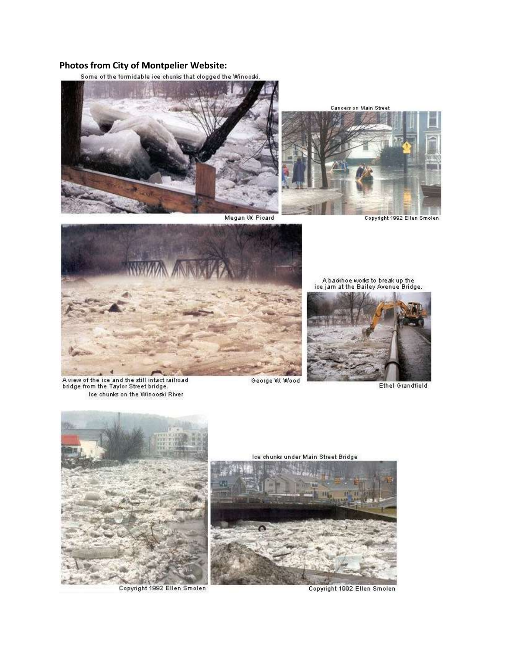# **Photos from City of Montpelier Website:**



Megan W. Picard

**Cancers on Main Street** 



Copyright 1992 Ellen Smolen



A view of the ice and the still intact railroad<br>bridge from the Taylor Street bridge. Ice chunks on the Winooski River

A backhoe works to break up the<br>ice jam at the Bailey Avenue Bridge.



Ethel Grandfield



Copyright 1992 Ellen Smolen

George W. Wood





Copyright 1992 Ellen Smolen